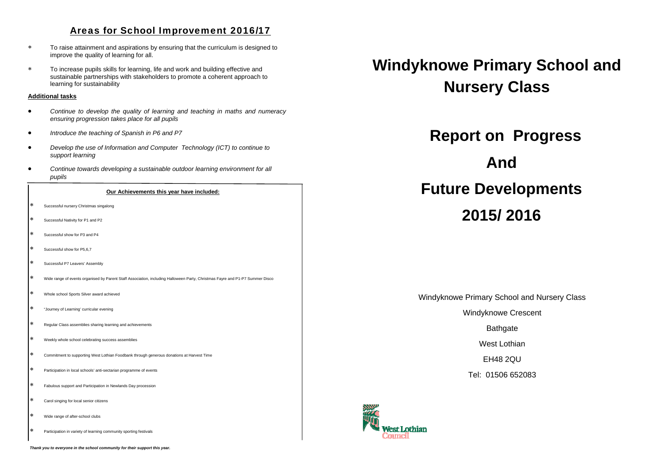## Areas for School Improvement 2016/17

 $\star$  To raise attainment and aspirations by ensuring that the curriculum is designed to improve the quality of learning for all.

 $\star$  To increase pupils skills for learning, life and work and building effective and sustainable partnerships with stakeholders to promote a coherent approach to learning for sustainability

### **Additional tasks**

- $\bullet$  *Continue to develop the quality of learning and teaching in maths and numeracy ensuring progression takes place for all pupils*
- $\bullet$ *Introduce the teaching of Spanish in P6 and P7*
- $\bullet$  *Develop the use of Information and Computer Technology (ICT) to continue to support learning*
- $\bullet$  *Continue towards developing a sustainable outdoor learning environment for all pupils*

#### **Our Achievements this year have included:**

- $\ast$ Successful nursery Christmas singalong
- $\ast$ Successful Nativity for P1 and P2
- $\ast$ Successful show for P3 and P4
- $\mathbf{k}$ Successful show for P5,6,7
- $\mathbf{r}$ Successful P7 Leavers' Assembly
- بعدا Wide range of events organised by Parent Staff Association, including Halloween Party, Christmas Fayre and P1-P7 Summer Disco
- l \* Whole school Sports Silver award achieved
- $\ast$ "Journey of Learning' curricular evening
- $\Delta$ Regular Class assemblies sharing learning and achievements
- $\mathbf{r}$ Weekly whole school celebrating success assemblies
- $\ast$ Commitment to supporting West Lothian Foodbank through generous donations at Harvest Time
- $\ast$ Participation in local schools' anti-sectarian programme of events
- $\ast$ Fabulous support and Participation in Newlands Day procession
- .پدا Carol singing for local senior citizens
- $\ast$ Wide range of after-school clubs
- $\ast$ Participation in variety of learning community sporting festivals

*Thank you to everyone in the school community for their support this year.* 

# **Windyknowe Primary School and Nursery Class**

**Report on Progress** 

## **And**

# **Future Developments**

## **2015/ 2016**

## Windyknowe Primary School and Nursery Class

Windyknowe Crescent

**Bathgate** 

West Lothian

EH48 2QU

Tel: 01506 652083